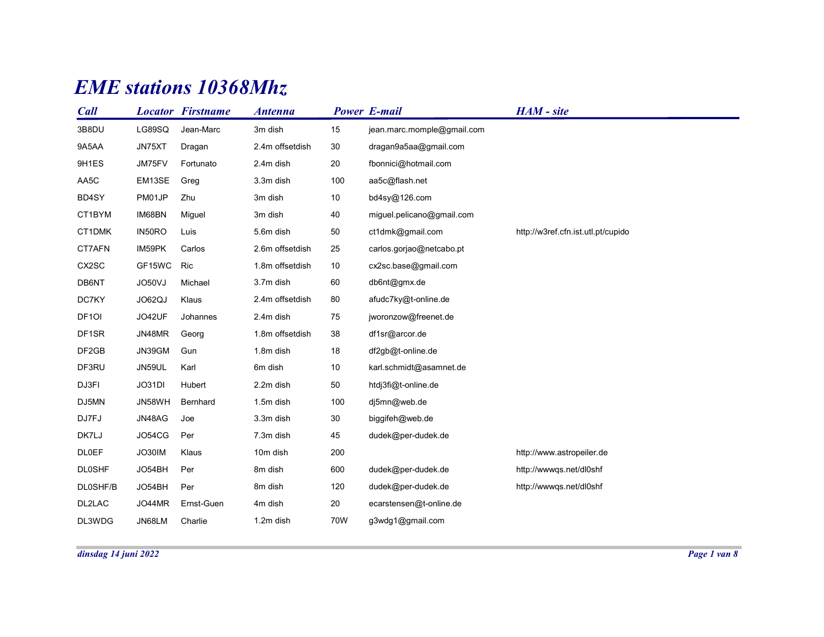## EME stations 10368Mhz

|                  |        | <b>EME</b> stations 10368Mhz |                 |        |                            |                                    |  |
|------------------|--------|------------------------------|-----------------|--------|----------------------------|------------------------------------|--|
| Call             |        | <b>Locator Firstname</b>     | <b>Antenna</b>  |        | <b>Power E-mail</b>        | HAM - site                         |  |
| 3B8DU            | LG89SQ | Jean-Marc                    | 3m dish         | 15     | jean.marc.momple@gmail.com |                                    |  |
| 9A5AA            | JN75XT | Dragan                       | 2.4m offsetdish | 30     | dragan9a5aa@gmail.com      |                                    |  |
| 9H1ES            | JM75FV | Fortunato                    | 2.4m dish       | 20     | fbonnici@hotmail.com       |                                    |  |
| AA5C             | EM13SE | Greg                         | 3.3m dish       | 100    | aa5c@flash.net             |                                    |  |
| BD4SY            | PM01JP | Zhu                          | 3m dish         | 10     | bd4sy@126.com              |                                    |  |
| CT1BYM           | IM68BN | Miguel                       | 3m dish         | 40     | miguel.pelicano@gmail.com  |                                    |  |
| CT1DMK           | IN50RO | Luis                         | 5.6m dish       | 50     | ct1dmk@gmail.com           | http://w3ref.cfn.ist.utl.pt/cupido |  |
| CT7AFN           | IM59PK | Carlos                       | 2.6m offsetdish | 25     | carlos.gorjao@netcabo.pt   |                                    |  |
| CX2SC            | GF15WC | Ric                          | 1.8m offsetdish | 10     | cx2sc.base@gmail.com       |                                    |  |
| DB6NT            | JO50VJ | Michael                      | 3.7m dish       | 60     | db6nt@gmx.de               |                                    |  |
| DC7KY            | JO62QJ | Klaus                        | 2.4m offsetdish | 80     | afudc7ky@t-online.de       |                                    |  |
| DF <sub>10</sub> | JO42UF | Johannes                     | 2.4m dish       | 75     | jworonzow@freenet.de       |                                    |  |
| DF1SR            | JN48MR | Georg                        | 1.8m offsetdish | 38     | df1sr@arcor.de             |                                    |  |
| DF2GB            | JN39GM | Gun                          | 1.8m dish       | $18\,$ | df2gb@t-online.de          |                                    |  |
| DF3RU            | JN59UL | Karl                         | 6m dish         | $10\,$ | karl.schmidt@asamnet.de    |                                    |  |
| DJ3FI            | JO31DI | Hubert                       | 2.2m dish       | $50\,$ | htdj3fi@t-online.de        |                                    |  |
| DJ5MN            | JN58WH | Bernhard                     | 1.5m dish       | 100    | dj5mn@web.de               |                                    |  |
| DJ7FJ            | JN48AG | Joe                          | 3.3m dish       | $30\,$ | biggifeh@web.de            |                                    |  |
| DK7LJ            | JO54CG | Per                          | 7.3m dish       | 45     | dudek@per-dudek.de         |                                    |  |
| <b>DL0EF</b>     | JO30IM | Klaus                        | 10m dish        | 200    |                            | http://www.astropeiler.de          |  |
| <b>DL0SHF</b>    | JO54BH | Per                          | 8m dish         | 600    | dudek@per-dudek.de         | http://wwwqs.net/dl0shf            |  |
| DL0SHF/B         | JO54BH | Per                          | 8m dish         | 120    | dudek@per-dudek.de         | http://wwwqs.net/dl0shf            |  |
| DL2LAC           | JO44MR | Ernst-Guen                   | 4m dish         | $20\,$ | ecarstensen@t-online.de    |                                    |  |
|                  | JN68LM | Charlie                      | 1.2m dish       | 70W    | g3wdg1@gmail.com           |                                    |  |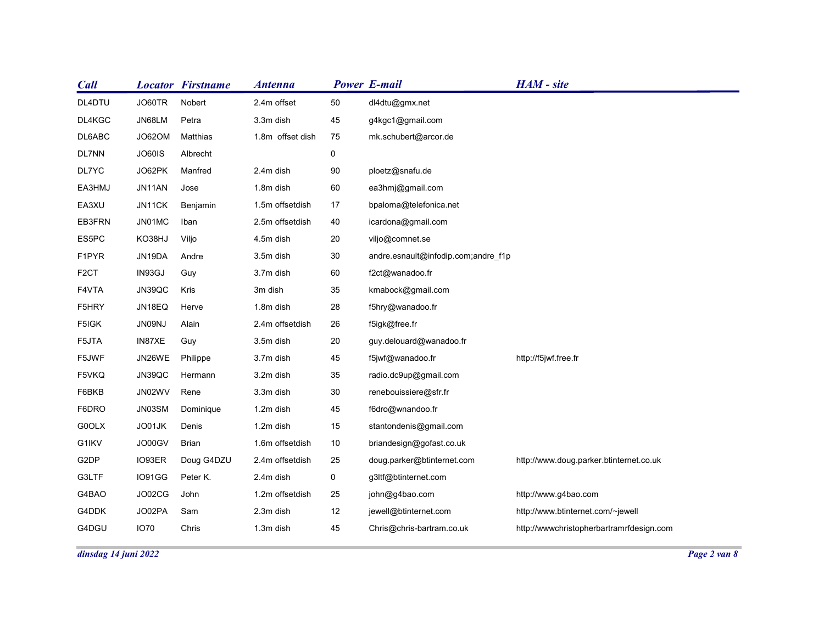| Call              |                      | <b>Locator Firstname</b> | <b>Antenna</b>   |             | <b>Power E-mail</b>                 | HAM - site                               |  |
|-------------------|----------------------|--------------------------|------------------|-------------|-------------------------------------|------------------------------------------|--|
| DL4DTU            | JO60TR               | Nobert                   | 2.4m offset      | $50\,$      | dl4dtu@gmx.net                      |                                          |  |
| DL4KGC            | JN68LM               | Petra                    | 3.3m dish        | 45          | g4kgc1@gmail.com                    |                                          |  |
| DL6ABC            | JO62OM               | Matthias                 | 1.8m offset dish | 75          | mk.schubert@arcor.de                |                                          |  |
| DL7NN             | JO60IS               | Albrecht                 |                  | $\mathbf 0$ |                                     |                                          |  |
| DL7YC             | JO62PK               | Manfred                  | 2.4m dish        | 90          | ploetz@snafu.de                     |                                          |  |
| EA3HMJ            | JN11AN               | Jose                     | 1.8m dish        | 60          | ea3hmj@gmail.com                    |                                          |  |
| EA3XU             | JN11CK               | Benjamin                 | 1.5m offsetdish  | 17          | bpaloma@telefonica.net              |                                          |  |
| EB3FRN            | JN01MC               | Iban                     | 2.5m offsetdish  | 40          | icardona@gmail.com                  |                                          |  |
| ES5PC             | KO38HJ               | Viljo                    | 4.5m dish        | 20          | viljo@comnet.se                     |                                          |  |
| F1PYR             | JN19DA               | Andre                    | 3.5m dish        | $30\,$      | andre.esnault@infodip.com;andre_f1p |                                          |  |
| F <sub>2</sub> CT | IN93GJ               | Guy                      | 3.7m dish        | 60          | f2ct@wanadoo.fr                     |                                          |  |
| F4VTA             | JN39QC               | Kris                     | 3m dish          | $35\,$      | kmabock@gmail.com                   |                                          |  |
| F5HRY             | JN18EQ               | Herve                    | 1.8m dish        | 28          | f5hry@wanadoo.fr                    |                                          |  |
| F5IGK             | JN09NJ               | Alain                    | 2.4m offsetdish  | 26          | f5igk@free.fr                       |                                          |  |
| F5JTA             | IN87XE               | Guy                      | 3.5m dish        | $20\,$      | guy.delouard@wanadoo.fr             |                                          |  |
| F5JWF             | JN26WE               | Philippe                 | 3.7m dish        | 45          | f5jwf@wanadoo.fr                    | http://f5jwf.free.fr                     |  |
| F5VKQ             | JN39QC               | Hermann                  | 3.2m dish        | $35\,$      | radio.dc9up@gmail.com               |                                          |  |
| F6BKB             | JN02WV               | Rene                     | 3.3m dish        | $30\,$      | renebouissiere@sfr.fr               |                                          |  |
| F6DRO             | JN03SM               | Dominique                | 1.2m dish        | 45          | f6dro@wnandoo.fr                    |                                          |  |
| G0OLX             | JO01JK               | Denis                    | 1.2m dish        | 15          | stantondenis@gmail.com              |                                          |  |
| G1IKV             | JO00GV               | <b>Brian</b>             | 1.6m offsetdish  | 10          | briandesign@gofast.co.uk            |                                          |  |
| G2DP              | IO93ER               | Doug G4DZU               | 2.4m offsetdish  | 25          | doug.parker@btinternet.com          | http://www.doug.parker.btinternet.co.uk  |  |
| G3LTF             | IO91GG               | Peter K.                 | 2.4m dish        | $\mathbf 0$ | g3ltf@btinternet.com                |                                          |  |
| G4BAO             | JO02CG               | John                     | 1.2m offsetdish  | 25          | john@g4bao.com                      | http://www.g4bao.com                     |  |
| G4DDK             | JO02PA               | Sam                      | 2.3m dish        | 12          | jewell@btinternet.com               | http://www.btinternet.com/~jewell        |  |
| G4DGU             | <b>IO70</b>          | Chris                    | 1.3m dish        | 45          | Chris@chris-bartram.co.uk           | http://wwwchristopherbartramrfdesign.com |  |
|                   | dinsdag 14 juni 2022 |                          |                  |             |                                     |                                          |  |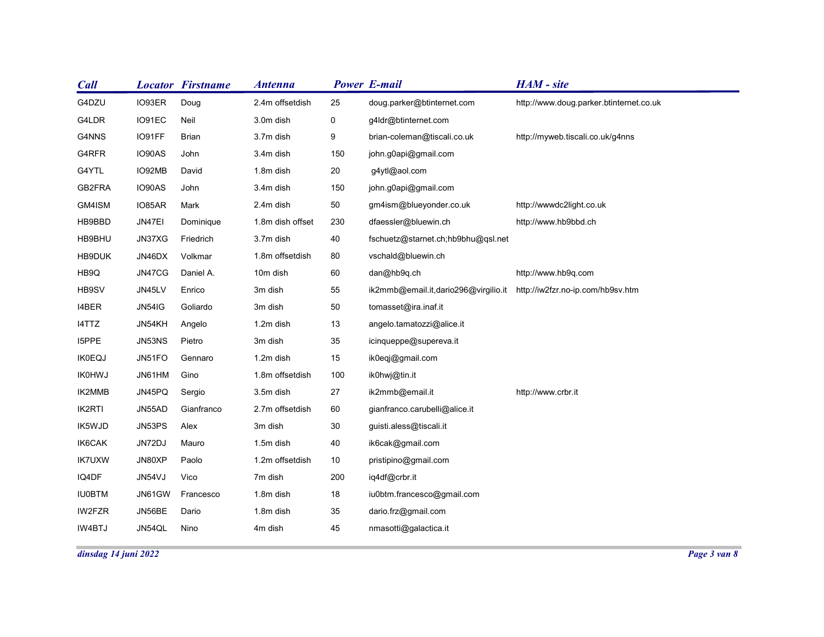| <b>Call</b>          |               | <b>Locator Firstname</b> | <b>Antenna</b>   |        | <b>Power E-mail</b>                                                    | HAM - site                              |              |
|----------------------|---------------|--------------------------|------------------|--------|------------------------------------------------------------------------|-----------------------------------------|--------------|
| G4DZU                | IO93ER        | Doug                     | 2.4m offsetdish  | 25     | doug.parker@btinternet.com                                             | http://www.doug.parker.btinternet.co.uk |              |
| G4LDR                | IO91EC        | Neil                     | 3.0m dish        | 0      | g4ldr@btinternet.com                                                   |                                         |              |
| G4NNS                | IO91FF        | <b>Brian</b>             | 3.7m dish        | 9      | brian-coleman@tiscali.co.uk                                            | http://myweb.tiscali.co.uk/g4nns        |              |
| G4RFR                | IO90AS        | John                     | 3.4m dish        | 150    | john.g0api@gmail.com                                                   |                                         |              |
| G4YTL                | IO92MB        | David                    | 1.8m dish        | 20     | g4ytl@aol.com                                                          |                                         |              |
| GB2FRA               | IO90AS        | John                     | 3.4m dish        | 150    | john.g0api@gmail.com                                                   |                                         |              |
| GM4ISM               | IO85AR        | Mark                     | 2.4m dish        | 50     | gm4ism@blueyonder.co.uk                                                | http://wwwdc2light.co.uk                |              |
| HB9BBD               | JN47EI        | Dominique                | 1.8m dish offset | 230    | dfaessler@bluewin.ch                                                   | http://www.hb9bbd.ch                    |              |
| HB9BHU               | JN37XG        | Friedrich                | 3.7m dish        | 40     | fschuetz@starnet.ch;hb9bhu@qsl.net                                     |                                         |              |
| HB9DUK               | JN46DX        | Volkmar                  | 1.8m offsetdish  | 80     | vschald@bluewin.ch                                                     |                                         |              |
| HB9Q                 | JN47CG        | Daniel A.                | 10m dish         | 60     | dan@hb9q.ch                                                            | http://www.hb9q.com                     |              |
| HB9SV                | JN45LV        | Enrico                   | 3m dish          | 55     | ik2mmb@email.it,dario296@virgilio.it http://iw2fzr.no-ip.com/hb9sv.htm |                                         |              |
| 14BER                | <b>JN54IG</b> | Goliardo                 | 3m dish          | 50     | tomasset@ira.inaf.it                                                   |                                         |              |
| I4TTZ                | JN54KH        | Angelo                   | 1.2m dish        | 13     | angelo.tamatozzi@alice.it                                              |                                         |              |
| I5PPE                | JN53NS        | Pietro                   | 3m dish          | $35\,$ | icinqueppe@supereva.it                                                 |                                         |              |
| <b>IK0EQJ</b>        | JN51FO        | Gennaro                  | 1.2m dish        | 15     | ik0eqj@gmail.com                                                       |                                         |              |
| <b>IK0HWJ</b>        | JN61HM        | Gino                     | 1.8m offsetdish  | 100    | ik0hwj@tin.it                                                          |                                         |              |
| IK2MMB               | JN45PQ        | Sergio                   | 3.5m dish        | 27     | ik2mmb@email.it                                                        | http://www.crbr.it                      |              |
| IK2RTI               | JN55AD        | Gianfranco               | 2.7m offsetdish  | 60     | gianfranco.carubelli@alice.it                                          |                                         |              |
| IK5WJD               | JN53PS        | Alex                     | 3m dish          | $30\,$ | guisti.aless@tiscali.it                                                |                                         |              |
| IK6CAK               | JN72DJ        | Mauro                    | 1.5m dish        | 40     | ik6cak@gmail.com                                                       |                                         |              |
| <b>IK7UXW</b>        | JN80XP        | Paolo                    | 1.2m offsetdish  | 10     | pristipino@gmail.com                                                   |                                         |              |
| IQ4DF                | JN54VJ        | Vico                     | 7m dish          | 200    | iq4df@crbr.it                                                          |                                         |              |
| <b>IU0BTM</b>        | JN61GW        | Francesco                | 1.8m dish        | 18     | iu0btm.francesco@gmail.com                                             |                                         |              |
| IW2FZR               | JN56BE        | Dario                    | 1.8m dish        | 35     | dario.frz@gmail.com                                                    |                                         |              |
| IW4BTJ               | JN54QL        | Nino                     | 4m dish          | 45     | nmasotti@galactica.it                                                  |                                         |              |
| dinsdag 14 juni 2022 |               |                          |                  |        |                                                                        |                                         | Page 3 van 8 |
|                      |               |                          |                  |        |                                                                        |                                         |              |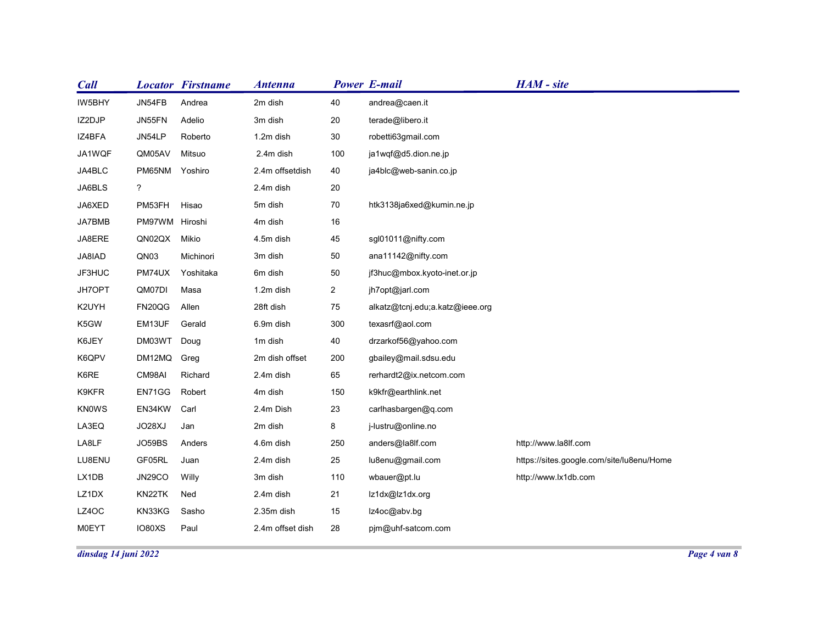| <b>Power E-mail</b><br>HAM - site<br><b>Locator Firstname</b><br><b>Antenna</b><br>JN54FB<br>2m dish<br>40<br>andrea@caen.it<br>Andrea<br>JN55FN<br>3m dish<br>$20\,$<br>terade@libero.it<br>Adelio<br>JN54LP<br>Roberto<br>30<br>robetti63gmail.com<br>1.2m dish<br>QM05AV<br>Mitsuo<br>2.4m dish<br>100<br>ja1wqf@d5.dion.ne.jp<br>PM65NM Yoshiro<br>2.4m offsetdish<br>40<br>ja4blc@web-sanin.co.jp<br>$\ddot{\phantom{0}}$<br>2.4m dish<br>20<br>$70\,$<br>5m dish<br>PM53FH<br>Hisao<br>htk3138ja6xed@kumin.ne.jp<br>PM97WM Hiroshi<br>$16\,$<br>4m dish<br>45<br>QN02QX Mikio<br>4.5m dish<br>sgl01011@nifty.com<br>3m dish<br>50<br>ana11142@nifty.com<br>QN03<br>Michinori<br>PM74UX<br>50<br>Yoshitaka<br>6m dish<br>jf3huc@mbox.kyoto-inet.or.jp<br>Masa<br>1.2m dish<br>$\overline{2}$<br>jh7opt@jarl.com<br>QM07DI<br>FN20QG<br>Allen<br>28ft dish<br>75<br>alkatz@tcnj.edu;a.katz@ieee.org<br>EM13UF<br>Gerald<br>300<br>texasrf@aol.com<br>6.9m dish<br>DM03WT Doug<br>1m dish<br>40<br>drzarkof56@yahoo.com<br>DM12MQ Greg<br>2m dish offset<br>200<br>gbailey@mail.sdsu.edu<br>CM98AI<br>Richard<br>65<br>2.4m dish<br>rerhardt2@ix.netcom.com<br>EN71GG<br>Robert<br>4m dish<br>150<br>k9kfr@earthlink.net<br>EN34KW Carl<br>2.4m Dish<br>23<br>carlhasbargen@q.com<br>JO28XJ<br>2m dish<br>8<br>Jan<br>j-lustru@online.no |
|---------------------------------------------------------------------------------------------------------------------------------------------------------------------------------------------------------------------------------------------------------------------------------------------------------------------------------------------------------------------------------------------------------------------------------------------------------------------------------------------------------------------------------------------------------------------------------------------------------------------------------------------------------------------------------------------------------------------------------------------------------------------------------------------------------------------------------------------------------------------------------------------------------------------------------------------------------------------------------------------------------------------------------------------------------------------------------------------------------------------------------------------------------------------------------------------------------------------------------------------------------------------------------------------------------------------------------------------|
|                                                                                                                                                                                                                                                                                                                                                                                                                                                                                                                                                                                                                                                                                                                                                                                                                                                                                                                                                                                                                                                                                                                                                                                                                                                                                                                                             |
| Call<br>IW5BHY<br>IZ2DJP<br>IZ4BFA<br>JA1WQF<br>JA4BLC<br>JA6BLS<br>JA6XED<br>JA7BMB<br>JA8ERE<br>JA8IAD<br>JF3HUC<br>JH7OPT<br>K2UYH<br>K5GW<br>K6JEY<br>K6QPV<br>K6RE<br>K9KFR<br>KN0WS<br>LA3EQ                                                                                                                                                                                                                                                                                                                                                                                                                                                                                                                                                                                                                                                                                                                                                                                                                                                                                                                                                                                                                                                                                                                                          |
|                                                                                                                                                                                                                                                                                                                                                                                                                                                                                                                                                                                                                                                                                                                                                                                                                                                                                                                                                                                                                                                                                                                                                                                                                                                                                                                                             |
|                                                                                                                                                                                                                                                                                                                                                                                                                                                                                                                                                                                                                                                                                                                                                                                                                                                                                                                                                                                                                                                                                                                                                                                                                                                                                                                                             |
|                                                                                                                                                                                                                                                                                                                                                                                                                                                                                                                                                                                                                                                                                                                                                                                                                                                                                                                                                                                                                                                                                                                                                                                                                                                                                                                                             |
|                                                                                                                                                                                                                                                                                                                                                                                                                                                                                                                                                                                                                                                                                                                                                                                                                                                                                                                                                                                                                                                                                                                                                                                                                                                                                                                                             |
|                                                                                                                                                                                                                                                                                                                                                                                                                                                                                                                                                                                                                                                                                                                                                                                                                                                                                                                                                                                                                                                                                                                                                                                                                                                                                                                                             |
|                                                                                                                                                                                                                                                                                                                                                                                                                                                                                                                                                                                                                                                                                                                                                                                                                                                                                                                                                                                                                                                                                                                                                                                                                                                                                                                                             |
|                                                                                                                                                                                                                                                                                                                                                                                                                                                                                                                                                                                                                                                                                                                                                                                                                                                                                                                                                                                                                                                                                                                                                                                                                                                                                                                                             |
|                                                                                                                                                                                                                                                                                                                                                                                                                                                                                                                                                                                                                                                                                                                                                                                                                                                                                                                                                                                                                                                                                                                                                                                                                                                                                                                                             |
|                                                                                                                                                                                                                                                                                                                                                                                                                                                                                                                                                                                                                                                                                                                                                                                                                                                                                                                                                                                                                                                                                                                                                                                                                                                                                                                                             |
|                                                                                                                                                                                                                                                                                                                                                                                                                                                                                                                                                                                                                                                                                                                                                                                                                                                                                                                                                                                                                                                                                                                                                                                                                                                                                                                                             |
|                                                                                                                                                                                                                                                                                                                                                                                                                                                                                                                                                                                                                                                                                                                                                                                                                                                                                                                                                                                                                                                                                                                                                                                                                                                                                                                                             |
|                                                                                                                                                                                                                                                                                                                                                                                                                                                                                                                                                                                                                                                                                                                                                                                                                                                                                                                                                                                                                                                                                                                                                                                                                                                                                                                                             |
|                                                                                                                                                                                                                                                                                                                                                                                                                                                                                                                                                                                                                                                                                                                                                                                                                                                                                                                                                                                                                                                                                                                                                                                                                                                                                                                                             |
|                                                                                                                                                                                                                                                                                                                                                                                                                                                                                                                                                                                                                                                                                                                                                                                                                                                                                                                                                                                                                                                                                                                                                                                                                                                                                                                                             |
|                                                                                                                                                                                                                                                                                                                                                                                                                                                                                                                                                                                                                                                                                                                                                                                                                                                                                                                                                                                                                                                                                                                                                                                                                                                                                                                                             |
|                                                                                                                                                                                                                                                                                                                                                                                                                                                                                                                                                                                                                                                                                                                                                                                                                                                                                                                                                                                                                                                                                                                                                                                                                                                                                                                                             |
|                                                                                                                                                                                                                                                                                                                                                                                                                                                                                                                                                                                                                                                                                                                                                                                                                                                                                                                                                                                                                                                                                                                                                                                                                                                                                                                                             |
|                                                                                                                                                                                                                                                                                                                                                                                                                                                                                                                                                                                                                                                                                                                                                                                                                                                                                                                                                                                                                                                                                                                                                                                                                                                                                                                                             |
|                                                                                                                                                                                                                                                                                                                                                                                                                                                                                                                                                                                                                                                                                                                                                                                                                                                                                                                                                                                                                                                                                                                                                                                                                                                                                                                                             |
|                                                                                                                                                                                                                                                                                                                                                                                                                                                                                                                                                                                                                                                                                                                                                                                                                                                                                                                                                                                                                                                                                                                                                                                                                                                                                                                                             |
|                                                                                                                                                                                                                                                                                                                                                                                                                                                                                                                                                                                                                                                                                                                                                                                                                                                                                                                                                                                                                                                                                                                                                                                                                                                                                                                                             |
|                                                                                                                                                                                                                                                                                                                                                                                                                                                                                                                                                                                                                                                                                                                                                                                                                                                                                                                                                                                                                                                                                                                                                                                                                                                                                                                                             |
|                                                                                                                                                                                                                                                                                                                                                                                                                                                                                                                                                                                                                                                                                                                                                                                                                                                                                                                                                                                                                                                                                                                                                                                                                                                                                                                                             |
|                                                                                                                                                                                                                                                                                                                                                                                                                                                                                                                                                                                                                                                                                                                                                                                                                                                                                                                                                                                                                                                                                                                                                                                                                                                                                                                                             |
| http://www.la8lf.com<br>LA8LF<br>JO59BS<br>Anders<br>4.6m dish<br>250<br>anders@la8lf.com                                                                                                                                                                                                                                                                                                                                                                                                                                                                                                                                                                                                                                                                                                                                                                                                                                                                                                                                                                                                                                                                                                                                                                                                                                                   |
| GF05RL<br>LU8ENU<br>Juan<br>25<br>https://sites.google.com/site/lu8enu/Home<br>2.4m dish<br>lu8enu@gmail.com                                                                                                                                                                                                                                                                                                                                                                                                                                                                                                                                                                                                                                                                                                                                                                                                                                                                                                                                                                                                                                                                                                                                                                                                                                |
| Willy<br>3m dish<br>110<br><b>JN29CO</b><br>wbauer@pt.lu<br>http://www.lx1db.com<br>LX1DB                                                                                                                                                                                                                                                                                                                                                                                                                                                                                                                                                                                                                                                                                                                                                                                                                                                                                                                                                                                                                                                                                                                                                                                                                                                   |
| KN22TK<br>LZ1DX<br>Ned<br>2.4m dish<br>21<br>lz1dx@lz1dx.org                                                                                                                                                                                                                                                                                                                                                                                                                                                                                                                                                                                                                                                                                                                                                                                                                                                                                                                                                                                                                                                                                                                                                                                                                                                                                |
| LZ4OC<br>KN33KG<br>Sasho<br>2.35m dish<br>15<br>lz4oc@abv.bg                                                                                                                                                                                                                                                                                                                                                                                                                                                                                                                                                                                                                                                                                                                                                                                                                                                                                                                                                                                                                                                                                                                                                                                                                                                                                |
| <b>MOEYT</b><br>IO80XS<br>Paul<br>2.4m offset dish<br>28<br>pjm@uhf-satcom.com                                                                                                                                                                                                                                                                                                                                                                                                                                                                                                                                                                                                                                                                                                                                                                                                                                                                                                                                                                                                                                                                                                                                                                                                                                                              |
| Page 4 van 8<br>dinsdag 14 juni 2022                                                                                                                                                                                                                                                                                                                                                                                                                                                                                                                                                                                                                                                                                                                                                                                                                                                                                                                                                                                                                                                                                                                                                                                                                                                                                                        |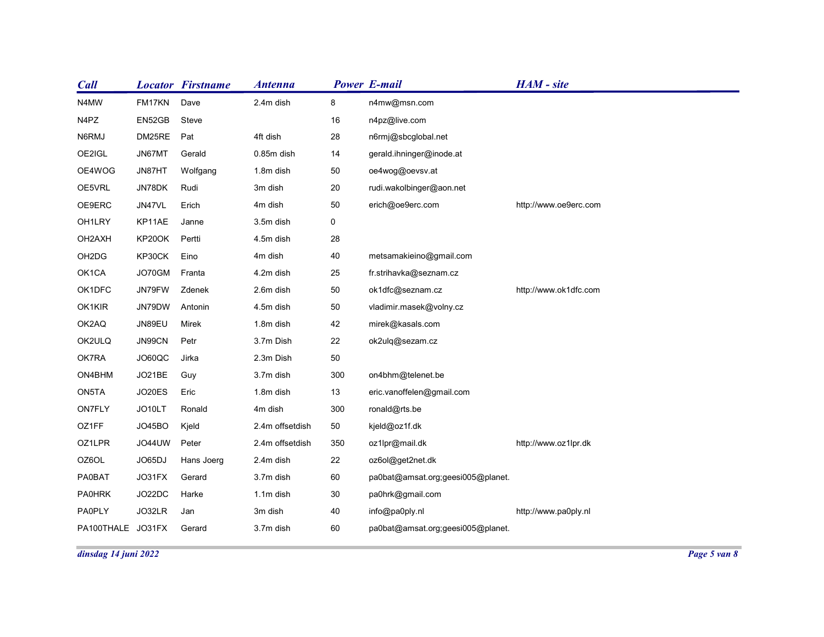| Call                               |                  |                          |                 |             |                                   |                       |  |
|------------------------------------|------------------|--------------------------|-----------------|-------------|-----------------------------------|-----------------------|--|
|                                    |                  |                          |                 |             |                                   |                       |  |
|                                    |                  | <b>Locator Firstname</b> | <b>Antenna</b>  |             | <b>Power E-mail</b>               | HAM - site            |  |
| N4MW<br>N4PZ                       | FM17KN<br>EN52GB | Dave<br>Steve            | 2.4m dish       | 8<br>16     | n4mw@msn.com<br>n4pz@live.com     |                       |  |
| N6RMJ                              | DM25RE           | Pat                      | 4ft dish        | 28          | n6rmj@sbcglobal.net               |                       |  |
| OE2IGL                             | JN67MT           | Gerald                   | 0.85m dish      | 14          | gerald.ihninger@inode.at          |                       |  |
| OE4WOG                             | JN87HT           | Wolfgang                 | 1.8m dish       | 50          | oe4wog@oevsv.at                   |                       |  |
| OE5VRL                             | JN78DK           | Rudi                     | 3m dish         | 20          | rudi.wakolbinger@aon.net          |                       |  |
| OE9ERC                             | JN47VL           | Erich                    | 4m dish         | 50          | erich@oe9erc.com                  | http://www.oe9erc.com |  |
| OH1LRY                             | KP11AE           | Janne                    | 3.5m dish       | $\mathbf 0$ |                                   |                       |  |
| OH2AXH                             | KP20OK           | Pertti                   | 4.5m dish       | 28          |                                   |                       |  |
| OH <sub>2</sub> D <sub>G</sub>     | KP30CK           | Eino                     | 4m dish         | 40          | metsamakieino@gmail.com           |                       |  |
| OK1CA                              | JO70GM           | Franta                   | 4.2m dish       | 25          | fr.strihavka@seznam.cz            |                       |  |
| OK1DFC                             | JN79FW           | Zdenek                   | 2.6m dish       | $50\,$      | ok1dfc@seznam.cz                  | http://www.ok1dfc.com |  |
| OK1KIR                             | JN79DW           | Antonin                  | 4.5m dish       | $50\,$      | vladimir.masek@volny.cz           |                       |  |
| OK2AQ                              | JN89EU           | Mirek                    | 1.8m dish       | 42          | mirek@kasals.com                  |                       |  |
| OK2ULQ                             | JN99CN           | Petr                     | 3.7m Dish       | 22          | ok2ulq@sezam.cz                   |                       |  |
| OK7RA                              | JO60QC           | Jirka                    | 2.3m Dish       | $50\,$      |                                   |                       |  |
| ON4BHM                             | JO21BE           | Guy                      | 3.7m dish       | 300         | on4bhm@telenet.be                 |                       |  |
| ON5TA                              | <b>JO20ES</b>    | Eric                     | 1.8m dish       | 13          | eric.vanoffelen@gmail.com         |                       |  |
| ON7FLY                             | JO10LT           | Ronald                   | 4m dish         | 300         | ronald@rts.be                     |                       |  |
| OZ1FF                              | JO45BO           | Kjeld                    | 2.4m offsetdish | 50          | kjeld@oz1f.dk                     |                       |  |
| OZ1LPR                             | JO44UW           | Peter                    | 2.4m offsetdish | 350         | oz1lpr@mail.dk                    | http://www.oz1lpr.dk  |  |
| OZ6OL                              | JO65DJ           | Hans Joerg               | 2.4m dish       | 22          | oz6ol@get2net.dk                  |                       |  |
| <b>PA0BAT</b>                      | JO31FX           | Gerard                   | 3.7m dish       | 60          | pa0bat@amsat.org;geesi005@planet. |                       |  |
|                                    | JO22DC           | Harke                    | 1.1m dish       | $30\,$      | pa0hrk@gmail.com                  |                       |  |
| <b>PA0HRK</b>                      |                  | Jan                      | 3m dish         | 40          | info@pa0ply.nl                    | http://www.pa0ply.nl  |  |
| <b>PA0PLY</b><br>PA100THALE JO31FX | JO32LR           | Gerard                   | 3.7m dish       | 60          | pa0bat@amsat.org;geesi005@planet. |                       |  |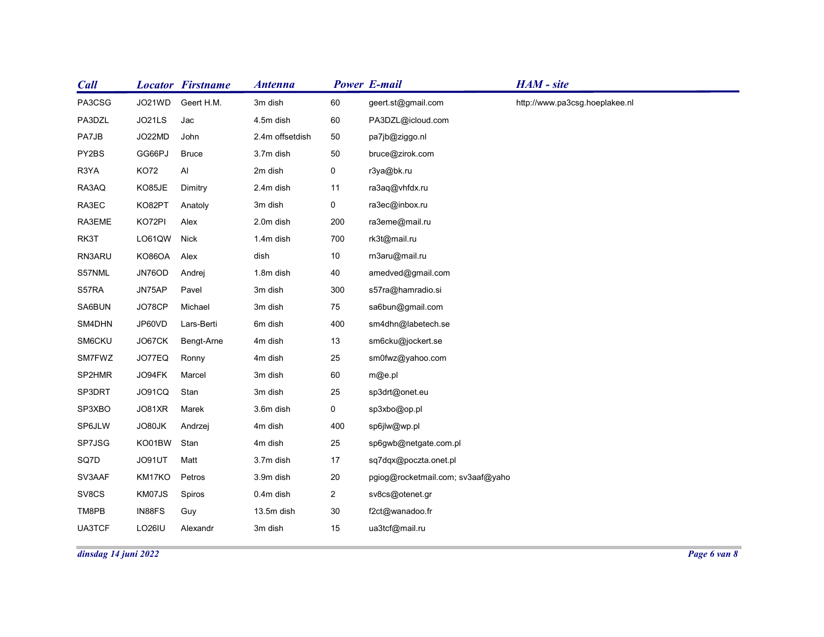| <b>Call</b> |                      | <b>Locator Firstname</b> | <b>Antenna</b>  |                | <b>Power E-mail</b>               | HAM - site                     |  |
|-------------|----------------------|--------------------------|-----------------|----------------|-----------------------------------|--------------------------------|--|
| PA3CSG      | JO21WD               | Geert H.M.               | 3m dish         | 60             | geert.st@gmail.com                | http://www.pa3csg.hoeplakee.nl |  |
| PA3DZL      | JO21LS               | Jac                      | 4.5m dish       | 60             | PA3DZL@icloud.com                 |                                |  |
| PA7JB       | JO22MD               | John                     | 2.4m offsetdish | 50             | pa7jb@ziggo.nl                    |                                |  |
| PY2BS       | GG66PJ               | <b>Bruce</b>             | 3.7m dish       | 50             | bruce@zirok.com                   |                                |  |
| R3YA        | KO72                 | Al                       | 2m dish         | $\mathbf 0$    | r3ya@bk.ru                        |                                |  |
| RA3AQ       | KO85JE               | Dimitry                  | 2.4m dish       | 11             | ra3aq@vhfdx.ru                    |                                |  |
| RA3EC       | KO82PT               | Anatoly                  | 3m dish         | $\mathbf 0$    | ra3ec@inbox.ru                    |                                |  |
| RA3EME      | KO72PI               | Alex                     | 2.0m dish       | 200            | ra3eme@mail.ru                    |                                |  |
| RK3T        | LO61QW Nick          |                          | 1.4m dish       | 700            | rk3t@mail.ru                      |                                |  |
| RN3ARU      | KO86OA               | Alex                     | dish            | $10\,$         | rn3aru@mail.ru                    |                                |  |
| S57NML      | JN76OD               | Andrej                   | 1.8m dish       | 40             | amedved@gmail.com                 |                                |  |
| S57RA       | JN75AP               | Pavel                    | 3m dish         | 300            | s57ra@hamradio.si                 |                                |  |
| SA6BUN      | JO78CP               | Michael                  | 3m dish         | 75             | sa6bun@gmail.com                  |                                |  |
| SM4DHN      | JP60VD               | Lars-Berti               | 6m dish         | 400            | sm4dhn@labetech.se                |                                |  |
| SM6CKU      | JO67CK               | Bengt-Arne               | 4m dish         | $13$           | sm6cku@jockert.se                 |                                |  |
| SM7FWZ      | JO77EQ               | Ronny                    | 4m dish         | $25\,$         | sm0fwz@yahoo.com                  |                                |  |
| SP2HMR      | JO94FK               | Marcel                   | 3m dish         | 60             | m@e.pl                            |                                |  |
| SP3DRT      | JO91CQ               | Stan                     | 3m dish         | $25\,$         | sp3drt@onet.eu                    |                                |  |
| SP3XBO      | JO81XR               | Marek                    | 3.6m dish       | $\mathbf 0$    | sp3xbo@op.pl                      |                                |  |
| SP6JLW      | JO80JK               | Andrzej                  | 4m dish         | 400            | sp6jlw@wp.pl                      |                                |  |
| SP7JSG      | KO01BW Stan          |                          | 4m dish         | $25\,$         | sp6gwb@netgate.com.pl             |                                |  |
| SQ7D        | JO91UT               | Matt                     | 3.7m dish       | 17             | sq7dqx@poczta.onet.pl             |                                |  |
| SV3AAF      | KM17KO               | Petros                   | 3.9m dish       | $20\,$         | pgiog@rocketmail.com; sv3aaf@yaho |                                |  |
| SV8CS       | KM07JS               | Spiros                   | 0.4m dish       | $\overline{a}$ | sv8cs@otenet.gr                   |                                |  |
| TM8PB       | IN88FS               | Guy                      | 13.5m dish      | 30             | f2ct@wanadoo.fr                   |                                |  |
| UA3TCF      | LO26IU               | Alexandr                 | 3m dish         | 15             | ua3tcf@mail.ru                    |                                |  |
|             | dinsdag 14 juni 2022 |                          |                 |                |                                   |                                |  |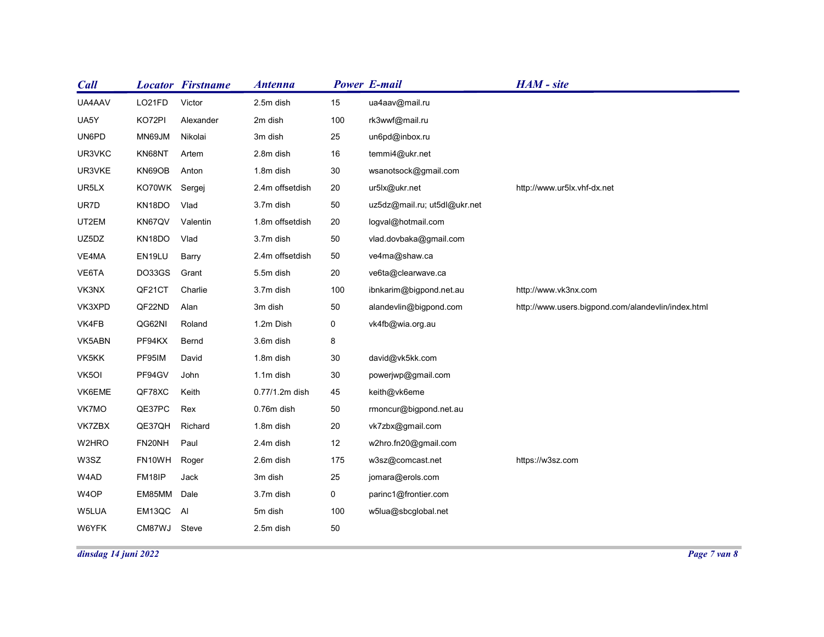| HAM - site<br><b>Locator Firstname</b><br><b>Power E-mail</b><br><b>Antenna</b><br>Victor<br>LO21FD<br>2.5m dish<br>15<br>ua4aav@mail.ru<br>KO72PI<br>2m dish<br>100<br>rk3wwf@mail.ru<br>Alexander<br>MN69JM<br>Nikolai<br>un6pd@inbox.ru<br>3m dish<br>25<br>KN68NT<br>2.8m dish<br>16<br>temmi4@ukr.net<br>Artem<br>KN69OB<br>1.8m dish<br>30<br>wsanotsock@gmail.com<br>Anton<br>KO70WK Sergej<br>2.4m offsetdish<br>20<br>ur5lx@ukr.net<br>http://www.ur5lx.vhf-dx.net<br>50<br>KN18DO<br>3.7m dish<br>uz5dz@mail.ru; ut5dl@ukr.net<br>Vlad<br>KN67QV<br>1.8m offsetdish<br>20<br>logval@hotmail.com<br>Valentin<br>KN18DO<br>3.7m dish<br>50<br>vlad.dovbaka@gmail.com<br>Vlad<br>50<br>ve4ma@shaw.ca<br>2.4m offsetdish<br>EN19LU<br>Barry<br>DO33GS<br>20<br>Grant<br>ve6ta@clearwave.ca<br>5.5m dish<br>Charlie<br>3.7m dish<br>100<br>ibnkarim@bigpond.net.au<br>http://www.vk3nx.com<br>QF21CT<br>QF22ND<br>3m dish<br>$50\,$<br>http://www.users.bigpond.com/alandevlin/index.html<br>Alan<br>alandevlin@bigpond.com<br>QG62NI<br>Roland<br>1.2m Dish<br>vk4fb@wia.org.au<br>$\mathbf 0$<br>PF94KX<br>Bernd<br>8<br>3.6m dish<br>PF95IM<br>$30\,$<br>David<br>1.8m dish<br>david@vk5kk.com<br>PF94GV<br>John<br>$30\,$<br>1.1m dish<br>powerjwp@gmail.com<br>QF78XC<br>Keith<br>0.77/1.2m dish<br>45<br>keith@vk6eme<br>QE37PC Rex<br>50<br>0.76m dish<br>rmoncur@bigpond.net.au<br>QE37QH<br>Richard<br>20<br>1.8m dish<br>vk7zbx@gmail.com<br>FN20NH<br>Paul<br>12<br>w2hro.fn20@gmail.com<br>2.4m dish<br>FN10WH Roger<br>175<br>https://w3sz.com<br>2.6m dish<br>w3sz@comcast.net<br>3m dish<br>$25\,$<br>FM18IP<br>Jack<br>jomara@erols.com<br>EM85MM Dale<br>$\mathbf 0$<br>3.7m dish<br>parinc1@frontier.com<br>EM13QC AI<br>5m dish<br>100<br>w5lua@sbcglobal.net |             |              |           |        |  |
|---------------------------------------------------------------------------------------------------------------------------------------------------------------------------------------------------------------------------------------------------------------------------------------------------------------------------------------------------------------------------------------------------------------------------------------------------------------------------------------------------------------------------------------------------------------------------------------------------------------------------------------------------------------------------------------------------------------------------------------------------------------------------------------------------------------------------------------------------------------------------------------------------------------------------------------------------------------------------------------------------------------------------------------------------------------------------------------------------------------------------------------------------------------------------------------------------------------------------------------------------------------------------------------------------------------------------------------------------------------------------------------------------------------------------------------------------------------------------------------------------------------------------------------------------------------------------------------------------------------------------------------------------------------------------------------------------------------------------------------------------------------------------------------|-------------|--------------|-----------|--------|--|
|                                                                                                                                                                                                                                                                                                                                                                                                                                                                                                                                                                                                                                                                                                                                                                                                                                                                                                                                                                                                                                                                                                                                                                                                                                                                                                                                                                                                                                                                                                                                                                                                                                                                                                                                                                                       |             |              |           |        |  |
|                                                                                                                                                                                                                                                                                                                                                                                                                                                                                                                                                                                                                                                                                                                                                                                                                                                                                                                                                                                                                                                                                                                                                                                                                                                                                                                                                                                                                                                                                                                                                                                                                                                                                                                                                                                       |             |              |           |        |  |
|                                                                                                                                                                                                                                                                                                                                                                                                                                                                                                                                                                                                                                                                                                                                                                                                                                                                                                                                                                                                                                                                                                                                                                                                                                                                                                                                                                                                                                                                                                                                                                                                                                                                                                                                                                                       |             |              |           |        |  |
| VE6TA<br>VK3NX                                                                                                                                                                                                                                                                                                                                                                                                                                                                                                                                                                                                                                                                                                                                                                                                                                                                                                                                                                                                                                                                                                                                                                                                                                                                                                                                                                                                                                                                                                                                                                                                                                                                                                                                                                        |             |              |           |        |  |
|                                                                                                                                                                                                                                                                                                                                                                                                                                                                                                                                                                                                                                                                                                                                                                                                                                                                                                                                                                                                                                                                                                                                                                                                                                                                                                                                                                                                                                                                                                                                                                                                                                                                                                                                                                                       |             |              |           |        |  |
|                                                                                                                                                                                                                                                                                                                                                                                                                                                                                                                                                                                                                                                                                                                                                                                                                                                                                                                                                                                                                                                                                                                                                                                                                                                                                                                                                                                                                                                                                                                                                                                                                                                                                                                                                                                       |             |              |           |        |  |
| VE4MA<br>VK3XPD<br>VK4FB<br>VK5ABN<br>VK5KK<br>VK5OI<br>VK6EME<br>VK7MO<br>VK7ZBX<br>W6YFK                                                                                                                                                                                                                                                                                                                                                                                                                                                                                                                                                                                                                                                                                                                                                                                                                                                                                                                                                                                                                                                                                                                                                                                                                                                                                                                                                                                                                                                                                                                                                                                                                                                                                            | <b>Call</b> |              |           |        |  |
| UA5Y<br>UN6PD<br>UR3VKC<br>UR3VKE                                                                                                                                                                                                                                                                                                                                                                                                                                                                                                                                                                                                                                                                                                                                                                                                                                                                                                                                                                                                                                                                                                                                                                                                                                                                                                                                                                                                                                                                                                                                                                                                                                                                                                                                                     | UA4AAV      |              |           |        |  |
|                                                                                                                                                                                                                                                                                                                                                                                                                                                                                                                                                                                                                                                                                                                                                                                                                                                                                                                                                                                                                                                                                                                                                                                                                                                                                                                                                                                                                                                                                                                                                                                                                                                                                                                                                                                       |             |              |           |        |  |
|                                                                                                                                                                                                                                                                                                                                                                                                                                                                                                                                                                                                                                                                                                                                                                                                                                                                                                                                                                                                                                                                                                                                                                                                                                                                                                                                                                                                                                                                                                                                                                                                                                                                                                                                                                                       |             |              |           |        |  |
| UR5LX<br>UR7D<br>UT2EM<br>UZ5DZ<br>W2HRO<br>W3SZ<br>W4AD<br>W4OP<br>W5LUA                                                                                                                                                                                                                                                                                                                                                                                                                                                                                                                                                                                                                                                                                                                                                                                                                                                                                                                                                                                                                                                                                                                                                                                                                                                                                                                                                                                                                                                                                                                                                                                                                                                                                                             |             |              |           |        |  |
|                                                                                                                                                                                                                                                                                                                                                                                                                                                                                                                                                                                                                                                                                                                                                                                                                                                                                                                                                                                                                                                                                                                                                                                                                                                                                                                                                                                                                                                                                                                                                                                                                                                                                                                                                                                       |             |              |           |        |  |
|                                                                                                                                                                                                                                                                                                                                                                                                                                                                                                                                                                                                                                                                                                                                                                                                                                                                                                                                                                                                                                                                                                                                                                                                                                                                                                                                                                                                                                                                                                                                                                                                                                                                                                                                                                                       |             |              |           |        |  |
|                                                                                                                                                                                                                                                                                                                                                                                                                                                                                                                                                                                                                                                                                                                                                                                                                                                                                                                                                                                                                                                                                                                                                                                                                                                                                                                                                                                                                                                                                                                                                                                                                                                                                                                                                                                       |             |              |           |        |  |
|                                                                                                                                                                                                                                                                                                                                                                                                                                                                                                                                                                                                                                                                                                                                                                                                                                                                                                                                                                                                                                                                                                                                                                                                                                                                                                                                                                                                                                                                                                                                                                                                                                                                                                                                                                                       |             |              |           |        |  |
|                                                                                                                                                                                                                                                                                                                                                                                                                                                                                                                                                                                                                                                                                                                                                                                                                                                                                                                                                                                                                                                                                                                                                                                                                                                                                                                                                                                                                                                                                                                                                                                                                                                                                                                                                                                       |             |              |           |        |  |
|                                                                                                                                                                                                                                                                                                                                                                                                                                                                                                                                                                                                                                                                                                                                                                                                                                                                                                                                                                                                                                                                                                                                                                                                                                                                                                                                                                                                                                                                                                                                                                                                                                                                                                                                                                                       |             |              |           |        |  |
|                                                                                                                                                                                                                                                                                                                                                                                                                                                                                                                                                                                                                                                                                                                                                                                                                                                                                                                                                                                                                                                                                                                                                                                                                                                                                                                                                                                                                                                                                                                                                                                                                                                                                                                                                                                       |             |              |           |        |  |
|                                                                                                                                                                                                                                                                                                                                                                                                                                                                                                                                                                                                                                                                                                                                                                                                                                                                                                                                                                                                                                                                                                                                                                                                                                                                                                                                                                                                                                                                                                                                                                                                                                                                                                                                                                                       |             |              |           |        |  |
|                                                                                                                                                                                                                                                                                                                                                                                                                                                                                                                                                                                                                                                                                                                                                                                                                                                                                                                                                                                                                                                                                                                                                                                                                                                                                                                                                                                                                                                                                                                                                                                                                                                                                                                                                                                       |             |              |           |        |  |
|                                                                                                                                                                                                                                                                                                                                                                                                                                                                                                                                                                                                                                                                                                                                                                                                                                                                                                                                                                                                                                                                                                                                                                                                                                                                                                                                                                                                                                                                                                                                                                                                                                                                                                                                                                                       |             |              |           |        |  |
|                                                                                                                                                                                                                                                                                                                                                                                                                                                                                                                                                                                                                                                                                                                                                                                                                                                                                                                                                                                                                                                                                                                                                                                                                                                                                                                                                                                                                                                                                                                                                                                                                                                                                                                                                                                       |             |              |           |        |  |
|                                                                                                                                                                                                                                                                                                                                                                                                                                                                                                                                                                                                                                                                                                                                                                                                                                                                                                                                                                                                                                                                                                                                                                                                                                                                                                                                                                                                                                                                                                                                                                                                                                                                                                                                                                                       |             |              |           |        |  |
|                                                                                                                                                                                                                                                                                                                                                                                                                                                                                                                                                                                                                                                                                                                                                                                                                                                                                                                                                                                                                                                                                                                                                                                                                                                                                                                                                                                                                                                                                                                                                                                                                                                                                                                                                                                       |             |              |           |        |  |
|                                                                                                                                                                                                                                                                                                                                                                                                                                                                                                                                                                                                                                                                                                                                                                                                                                                                                                                                                                                                                                                                                                                                                                                                                                                                                                                                                                                                                                                                                                                                                                                                                                                                                                                                                                                       |             |              |           |        |  |
|                                                                                                                                                                                                                                                                                                                                                                                                                                                                                                                                                                                                                                                                                                                                                                                                                                                                                                                                                                                                                                                                                                                                                                                                                                                                                                                                                                                                                                                                                                                                                                                                                                                                                                                                                                                       |             |              |           |        |  |
|                                                                                                                                                                                                                                                                                                                                                                                                                                                                                                                                                                                                                                                                                                                                                                                                                                                                                                                                                                                                                                                                                                                                                                                                                                                                                                                                                                                                                                                                                                                                                                                                                                                                                                                                                                                       |             |              |           |        |  |
|                                                                                                                                                                                                                                                                                                                                                                                                                                                                                                                                                                                                                                                                                                                                                                                                                                                                                                                                                                                                                                                                                                                                                                                                                                                                                                                                                                                                                                                                                                                                                                                                                                                                                                                                                                                       |             |              |           |        |  |
|                                                                                                                                                                                                                                                                                                                                                                                                                                                                                                                                                                                                                                                                                                                                                                                                                                                                                                                                                                                                                                                                                                                                                                                                                                                                                                                                                                                                                                                                                                                                                                                                                                                                                                                                                                                       |             |              |           |        |  |
|                                                                                                                                                                                                                                                                                                                                                                                                                                                                                                                                                                                                                                                                                                                                                                                                                                                                                                                                                                                                                                                                                                                                                                                                                                                                                                                                                                                                                                                                                                                                                                                                                                                                                                                                                                                       |             |              |           |        |  |
|                                                                                                                                                                                                                                                                                                                                                                                                                                                                                                                                                                                                                                                                                                                                                                                                                                                                                                                                                                                                                                                                                                                                                                                                                                                                                                                                                                                                                                                                                                                                                                                                                                                                                                                                                                                       |             |              |           |        |  |
|                                                                                                                                                                                                                                                                                                                                                                                                                                                                                                                                                                                                                                                                                                                                                                                                                                                                                                                                                                                                                                                                                                                                                                                                                                                                                                                                                                                                                                                                                                                                                                                                                                                                                                                                                                                       |             | CM87WJ Steve | 2.5m dish | $50\,$ |  |
| Page 7 van 8<br>dinsdag 14 juni 2022                                                                                                                                                                                                                                                                                                                                                                                                                                                                                                                                                                                                                                                                                                                                                                                                                                                                                                                                                                                                                                                                                                                                                                                                                                                                                                                                                                                                                                                                                                                                                                                                                                                                                                                                                  |             |              |           |        |  |